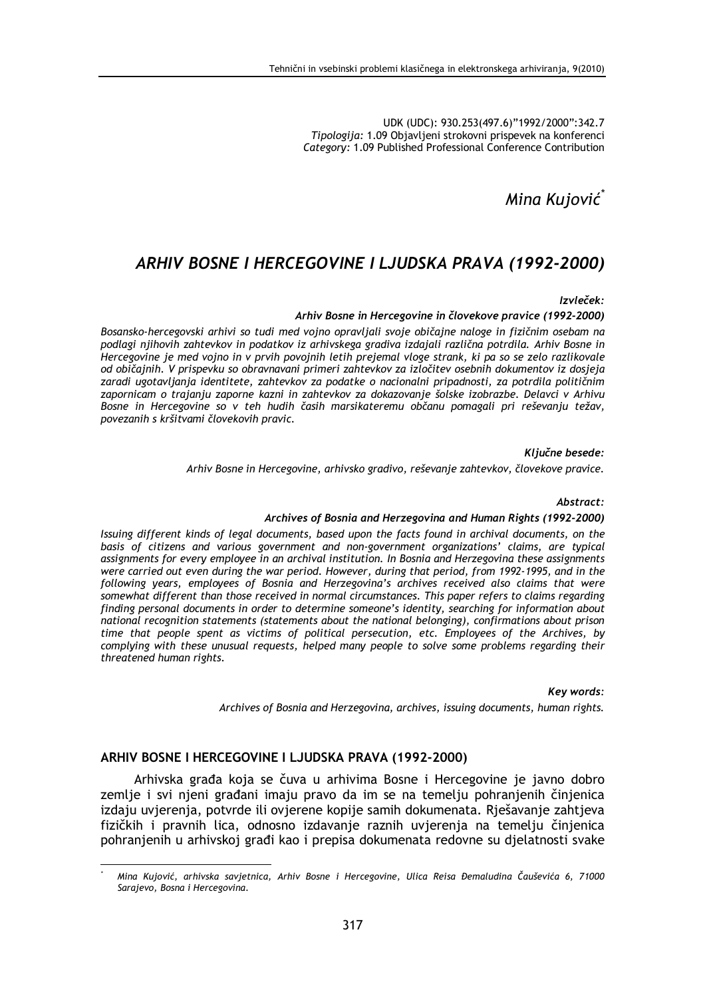UDK (UDC): 930.253(497.6)"1992/2000":342.7 Tipologija: 1.09 Objavljeni strokovni prispevek na konferenci Category: 1.09 Published Professional Conference Contribution

Mina Kujović

# ARHIV BOSNE I HERCEGOVINE I LJUDSKA PRAVA (1992-2000)

Izvleček:

#### Arhiv Bosne in Hercegovine in človekove pravice (1992-2000)

Bosansko-hercegovski arhivi so tudi med vojno opravljali svoje običajne naloge in fizičnim osebam na podlagi njihovih zahtevkov in podatkov iz arhivskega gradiva izdajali različna potrdila. Arhiv Bosne in Hercegovine je med vojno in v prvih povojnih letih prejemal vloge strank, ki pa so se zelo razlikovale od običajnih. V prispevku so obravnavani primeri zahtevkov za izločitev osebnih dokumentov iz dosjeja zaradi ugotavljanja identitete, zahtevkov za podatke o nacionalni pripadnosti, za potrdila političnim zapornicam o trajanju zaporne kazni in zahtevkov za dokazovanje šolske izobrazbe. Delavci v Arhivu Bosne in Hercegovine so v teh hudih časih marsikateremu občanu pomagali pri reševanju težav, povezanih s kršitvami človekovih pravic.

Ključne besede:

Arhiv Bosne in Hercegovine, arhivsko gradivo, reševanje zahtevkov, človekove pravice.

Abstract:

#### Archives of Bosnia and Herzegovina and Human Rights (1992-2000)

Issuing different kinds of legal documents, based upon the facts found in archival documents, on the basis of citizens and various government and non-government organizations' claims, are typical assignments for every employee in an archival institution. In Bosnia and Herzegovina these assignments were carried out even during the war period. However, during that period, from 1992-1995, and in the following years, employees of Bosnia and Herzegovina's archives received also claims that were somewhat different than those received in normal circumstances. This paper refers to claims regarding finding personal documents in order to determine someone's identity, searching for information about national recognition statements (statements about the national belonging), confirmations about prison time that people spent as victims of political persecution, etc. Employees of the Archives, by complying with these unusual requests, helped many people to solve some problems regarding their threatened human rights.

Key words:

Archives of Bosnia and Herzegovina, archives, issuing documents, human rights.

#### ARHIV BOSNE I HERCEGOVINE I LJUDSKA PRAVA (1992-2000)

Arhivska građa koja se čuva u arhivima Bosne i Hercegovine je javno dobro zemlje i svi njeni građani imaju pravo da im se na temelju pohranjenih činjenica izdaju uvjerenja, potvrde ili ovjerene kopije samih dokumenata. Rješavanje zahtjeva fizičkih i pravnih lica, odnosno izdavanje raznih uvjerenja na temelju činjenica pohranjenih u arhivskoj građi kao i prepisa dokumenata redovne su djelatnosti svake

Mina Kujović, arhivska savjetnica, Arhiv Bosne i Hercegovine, Ulica Reisa Đemaludina Čauševića 6, 71000 Sarajevo, Bosna i Hercegovina.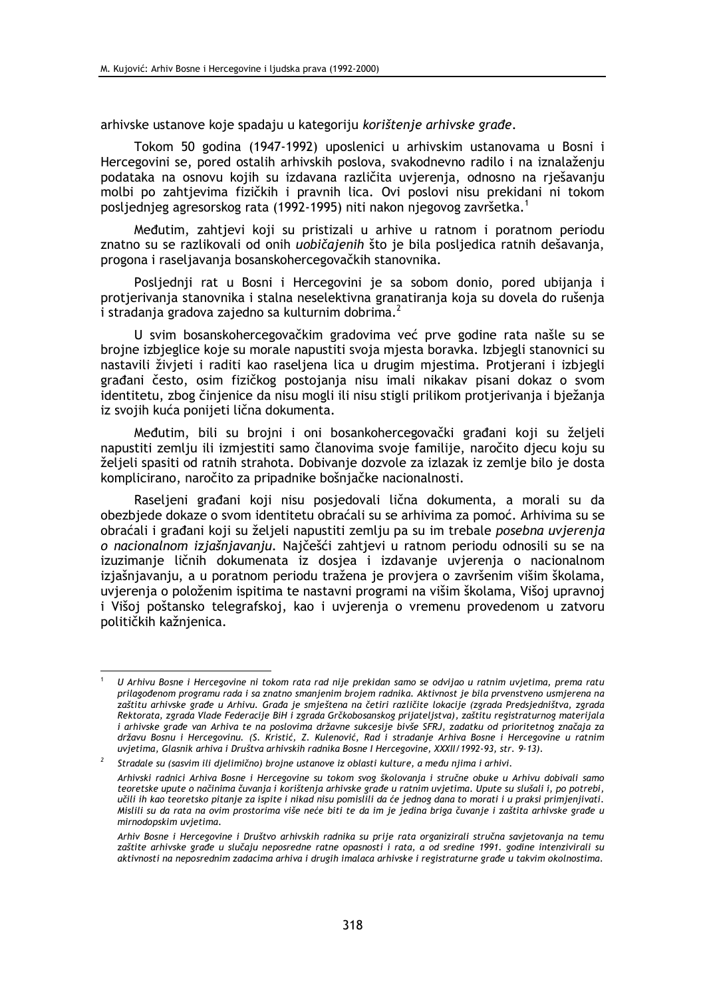arhivske ustanove koje spadaju u kategoriju korištenje arhivske građe.

Tokom 50 godina (1947-1992) uposlenici u arhivskim ustanovama u Bosni i Hercegovini se, pored ostalih arhivskih poslova, svakodnevno radilo i na iznalaženju podataka na osnovu kojih su izdavana različita uvjerenja, odnosno na rješavanju molbi po zahtjevima fizičkih i pravnih lica. Ovi poslovi nisu prekidani ni tokom posljednjeg agresorskog rata (1992-1995) niti nakon njegovog završetka.<sup>1</sup>

Međutim, zahtjevi koji su pristizali u arhive u ratnom i poratnom periodu znatno su se razlikovali od onih *uobičajenih* što je bila posljedica ratnih dešavanja, progona i raseljavanja bosanskohercegovačkih stanovnika.

Posljednji rat u Bosni i Hercegovini je sa sobom donio, pored ubijanja i protjerivanja stanovnika i stalna neselektivna granatiranja koja su dovela do rušenja i stradanja gradova zajedno sa kulturnim dobrima.<sup>2</sup>

U svim bosanskohercegovačkim gradovima već prve godine rata našle su se brojne izbjeglice koje su morale napustiti svoja mjesta boravka. Izbjegli stanovnici su nastavili živjeti i raditi kao raseljena lica u drugim mjestima. Protjerani i izbjegli građani često, osim fizičkog postojanja nisu imali nikakav pisani dokaz o svom identitetu, zbog činjenice da nisu mogli ili nisu stigli prilikom protjerivanja i bježanja iz svojih kuća ponijeti lična dokumenta.

Međutim, bili su brojni i oni bosankohercegovački građani koji su željeli napustiti zemlju ili izmiestiti samo članovima svoje familije, naročito djecu koju su željeli spasiti od ratnih strahota. Dobivanje dozvole za izlazak iz zemlje bilo je dosta komplicirano, naročito za pripadnike bošnjačke nacionalnosti.

Raseljeni građani koji nisu posjedovali lična dokumenta, a morali su da obezbiede dokaze o svom identitetu obraćali su se arhivima za pomoć. Arhivima su se obraćali i građani koji su željeli napustiti zemlju pa su im trebale posebna uvjerenja o nacionalnom izjašnjavanju. Najčešći zahtjevi u ratnom periodu odnosili su se na izuzimanje ličnih dokumenata iz dosjea i izdavanje uvjerenja o nacionalnom izjašnjavanju, a u poratnom periodu tražena je provjera o završenim višim školama, uvierenia o položenim ispitima te nastavni programi na višim školama. Višoj upravnoj i Višoj poštansko telegrafskoj, kao i uvjerenja o vremenu provedenom u zatvoru političkih kažnjenica.

U Arhivu Bosne i Hercegovine ni tokom rata rad nije prekidan samo se odvijao u ratnim uvjetima, prema ratu prilagođenom programu rada i sa znatno smanjenim brojem radnika. Aktivnost je bila prvenstveno usmjerena na zaštitu arhivske građe u Arhivu. Građa je smještena na četiri različite lokacije (zgrada Predsjedništva, zgrada Rektorata, zgrada Vlade Federacije BiH i zgrada Grčkobosanskog prijateljstva), zaštitu registraturnog materijala i arhivske građe van Arhiva te na poslovima državne sukcesije bivše SFRJ, zadatku od prioritetnog značaja za državu Bosnu i Hercegovinu. (S. Kristić, Z. Kulenović, Rad i stradanje Arhiva Bosne i Hercegovine u ratnim uvjetima, Glasnik arhiva i Društva arhivskih radnika Bosne I Hercegovine, XXXII/1992-93, str. 9-13).

 $\overline{2}$ Stradale su (sasvim ili djelimično) brojne ustanove iz oblasti kulture, a među njima i arhivi. Arhivski radnici Arhiva Bosne i Hercegovine su tokom svog školovanja i stručne obuke u Arhivu dobivali samo teoretske upute o načinima čuvania i korištenia arhivske građe u ratnim uvietima. Upute su slušali i, po potrebi, učili ih kao teoretsko pitanje za ispite i nikad nisu pomislili da će jednog dana to morati i u praksi primjenjivati. Mislili su da rata na ovim prostorima više neće biti te da im je jedina briga čuvanje i zaštita arhivske građe u mirnodopskim uvjetima.

Arhiv Bosne i Hercegovine i Društvo arhivskih radnika su prije rata organizirali stručna savjetovanja na temu zaštite arhivske građe u slučaju neposredne ratne opasnosti i rata, a od sredine 1991. godine intenzivirali su aktivnosti na neposrednim zadacima arhiva i drugih imalaca arhivske i registraturne građe u takvim okolnostima.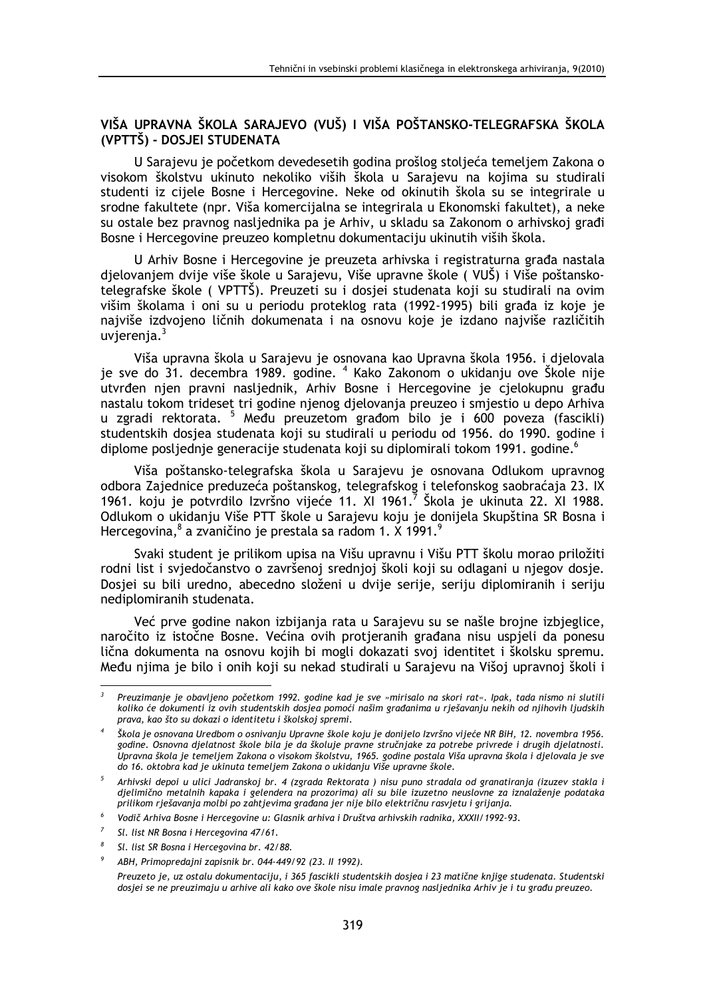# VIŠA UPRAVNA ŠKOLA SARAJEVO (VUŠ) I VIŠA POŠTANSKO-TELEGRAFSKA ŠKOLA (VPTTŠ) - DOSJEI STUDENATA

U Sarajevu je početkom devedesetih godina prošlog stoljeća temeljem Zakona o visokom školstvu ukinuto nekoliko viših škola u Sarajevu na kojima su studirali studenti iz cijele Bosne i Hercegovine. Neke od okinutih škola su se integrirale u srodne fakultete (npr. Viša komercijalna se integrirala u Ekonomski fakultet), a neke su ostale bez pravnog nasljednika pa je Arhiv, u skladu sa Zakonom o arhivskoj građi Bosne i Hercegovine preuzeo kompletnu dokumentaciju ukinutih viših škola.

U Arhiv Bosne i Hercegovine je preuzeta arhivska i registraturna građa nastala djelovanjem dvije više škole u Sarajevu, Više upravne škole (VUŠ) i Više poštanskotelegrafske škole (VPTTŠ). Preuzeti su i dosjei studenata koji su studirali na ovim višim školama i oni su u periodu proteklog rata (1992-1995) bili građa iz koje je najviše izdvojeno ličnih dokumenata i na osnovu koje je izdano najviše različitih uvierenia.<sup>3</sup>

Viša upravna škola u Sarajevu je osnovana kao Upravna škola 1956. i djelovala je sve do 31. decembra 1989. godine. <sup>4</sup> Kako Zakonom o ukidanju ove Škole nije utvrđen njen pravni nasljednik, Arhiv Bosne i Hercegovine je cjelokupnu građu nastalu tokom trideset tri godine njenog djelovanja preuzeo i smjestio u depo Arhiva u zgradi rektorata. <sup>5</sup> Među preuzetom građom bilo je i 600 poveza (fascikli) studentskih dosjea studenata koji su studirali u periodu od 1956. do 1990. godine i diplome posljednje generacije studenata koji su diplomirali tokom 1991. godine.<sup>6</sup>

Viša poštansko-telegrafska škola u Sarajevu je osnovana Odlukom upravnog odbora Zajednice preduzeća poštanskog, telegrafskog i telefonskog saobraćaja 23. IX 1961. koju je potvrdilo Izvršno vijeće 11. XI 1961. Škola je ukinuta 22. XI 1988. Odlukom o ukidanju Više PTT škole u Sarajevu koju je donijela Skupština SR Bosna i Hercegovina, <sup>8</sup> a zvaničino je prestala sa radom 1. X 1991.<sup>9</sup>

Svaki student je prilikom upisa na Višu upravnu i Višu PTT školu morao priložiti rodni list i svjedočanstvo o završenoj srednjoj školi koji su odlagani u njegov dosie. Dosjei su bili uredno, abecedno složeni u dvije serije, seriju diplomiranih i seriju nediplomiranih studenata.

Već prve godine nakon izbijanja rata u Sarajevu su se našle brojne izbjeglice, naročito iz istočne Bosne. Većina ovih protjeranih građana nisu uspjeli da ponesu lična dokumenta na osnovu kojih bi mogli dokazati svoj identitet i školsku spremu. Među njima je bilo i onih koji su nekad studirali u Sarajevu na Višoj upravnoj školi i

Preuzimanje je obavljeno početkom 1992. godine kad je sve »mirisalo na skori rat«. Ipak, tada nismo ni slutili koliko će dokumenti iz ovih studentskih dosjeg pomoći našim građanima u rješavanju nekih od njihovih ljudskih prava, kao što su dokazi o identitetu i školskoj spremi.

Škola je osnovana Uredbom o osnivanju Upravne škole koju je donijelo Izvršno vijeće NR BiH, 12. novembra 1956. godine. Osnovna djelatnost škole bila je da školuje pravne stručnjake za potrebe privrede i drugih djelatnosti. Upravna škola je temeljem Zakona o visokom školstvu, 1965. godine postala Viša upravna škola i djelovala je sve do 16. oktobra kad je ukinuta temeljem Zakona o ukidanju Više upravne škole.

Arhivski depoi u ulici Jadranskoj br. 4 (zgrada Rektorata) nisu puno stradala od granatiranja (izuzev stakla i djelimično metalnih kapaka i gelendera na prozorima) ali su bile izuzetno neuslovne za iznalaženje podataka prilikom rješavanja molbi po zahtjevima građana jer nije bilo električnu rasvjetu i grijanja.

Vodič Arhiva Bosne i Hercegovine u: Glasnik arhiva i Društva arhivskih radnika, XXXII/1992-93.

Sl. list NR Bosna i Hercegovina 47/61.

Sl. list SR Bosna i Hercegovina br. 42/88.

ABH, Primopredajni zapisnik br. 044-449/92 (23. II 1992).

Preuzeto je, uz ostalu dokumentaciju, i 365 fascikli studentskih dosjea i 23 matične knjige studenata. Studentski dosjei se ne preuzimaju u arhive ali kako ove škole nisu imale pravnog nasljednika Arhiv je i tu građu preuzeo.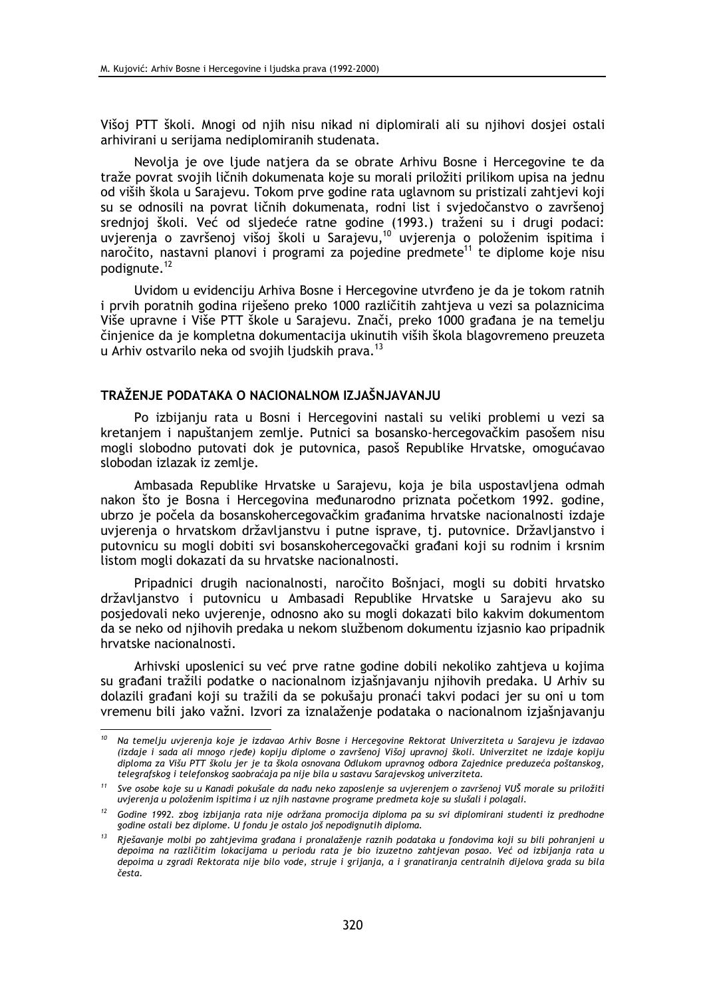Višoj PTT školi. Mnogi od njih nisu nikad ni diplomirali ali su njihovi dosjei ostali arhivirani u serijama nediplomiranih studenata.

Nevolja je ove ljude natjera da se obrate Arhivu Bosne i Hercegovine te da traže povrat svojih ličnih dokumenata koje su morali priložiti prilikom upisa na jednu od viših škola u Sarajevu. Tokom prve godine rata uglavnom su pristizali zahtjevi koji su se odnosili na povrat ličnih dokumenata, rodni list i svjedočanstvo o završenoj srednjoj školi. Već od sljedeće ratne godine (1993.) traženi su i drugi podaci: uvjerenja o završenoj višoj školi u Sarajevu,<sup>10</sup> uvjerenja o položenim ispitima i naročito, nastavni planovi i programi za pojedine predmete<sup>11</sup> te diplome koje nisu podignute.<sup>12</sup>

Uvidom u evidenciju Arhiva Bosne i Hercegovine utvrđeno je da je tokom ratnih i prvih poratnih godina riješeno preko 1000 različitih zahtjeva u vezi sa polaznicima Više upravne i Više PTT škole u Sarajevu. Znači, preko 1000 građana je na temelju činjenice da je kompletna dokumentacija ukinutih viših škola blagovremeno preuzeta u Arhiv ostvarilo neka od svojih ljudskih prava.<sup>13</sup>

## TRAŽENJE PODATAKA O NACIONALNOM IZJAŠNJAVANJU

Po izbijanju rata u Bosni i Hercegovini nastali su veliki problemi u vezi sa kretanjem i napuštanjem zemlje. Putnici sa bosansko-hercegovačkim pasošem nisu mogli slobodno putovati dok je putovnica, pasoš Republike Hrvatske, omogućavao slobodan izlazak iz zemlie.

Ambasada Republike Hrvatske u Sarajevu, koja je bila uspostavljena odmah nakon što je Bosna i Hercegovina međunarodno priznata početkom 1992. godine, ubrzo je počela da bosanskohercegovačkim građanima hrvatske nacionalnosti izdaje uvjerenja o hrvatskom državljanstvu i putne isprave, tj. putovnice. Državljanstvo i putovnicu su mogli dobiti svi bosanskohercegovački građani koji su rodnim i krsnim listom mogli dokazati da su hrvatske nacionalnosti.

Pripadnici drugih nacionalnosti, naročito Bošnjaci, mogli su dobiti hrvatsko državljanstvo i putovnicu u Ambasadi Republike Hrvatske u Sarajevu ako su posjedovali neko uvjerenje, odnosno ako su mogli dokazati bilo kakvim dokumentom da se neko od njihovih predaka u nekom službenom dokumentu izjasnio kao pripadnik hrvatske nacionalnosti.

Arhivski uposlenici su već prve ratne godine dobili nekoliko zahtjeva u kojima su građani tražili podatke o nacionalnom izjašnjavanju njihovih predaka. U Arhiv su dolazili građani koji su tražili da se pokušaju pronaći takvi podaci jer su oni u tom vremenu bili jako važni. Izvori za iznalaženje podataka o nacionalnom izjašnjavanju

Na temelju uvjerenja koje je izdavao Arhiv Bosne i Hercegovine Rektorat Univerziteta u Sarajevu je izdavao (izdaje i sada ali mnogo rjeđe) kopiju diplome o završenoj Višoj upravnoj školi. Univerzitet ne izdaje kopiju diploma za Višu PTT školu jer je ta škola osnovana Odlukom upravnog odbora Zajednice preduzeća poštanskog, telegrafskog i telefonskog saobraćaja pa nije bila u sastavu Sarajevskog univerziteta.

<sup>&</sup>lt;sup>11</sup> Sve osobe koje su u Kanadi pokušale da nađu neko zaposlenje sa uvjerenjem o završenoj VUŠ morale su priložiti uvjerenja u položenim ispitima i uz njih nastavne programe predmeta koje su slušali i polagali.

<sup>&</sup>lt;sup>12</sup> Godine 1992. zbog izbijanja rata nije održana promocija diploma pa su svi diplomirani studenti iz predhodne godine ostali bez diplome. U fondu je ostalo još nepodignutih diploma.

 $^{13}$  Riešavanie molbi po zahtievima građana i pronalaženie raznih podataka u fondovima koji su bili pohranjeni u depoima na različitim lokacijama u periodu rata je bio izuzetno zahtjevan posao. Već od izbijanja rata u depoima u zgradi Rektorata nije bilo vode, struje i grijanja, a i granatiranja centralnih dijelova grada su bila česta.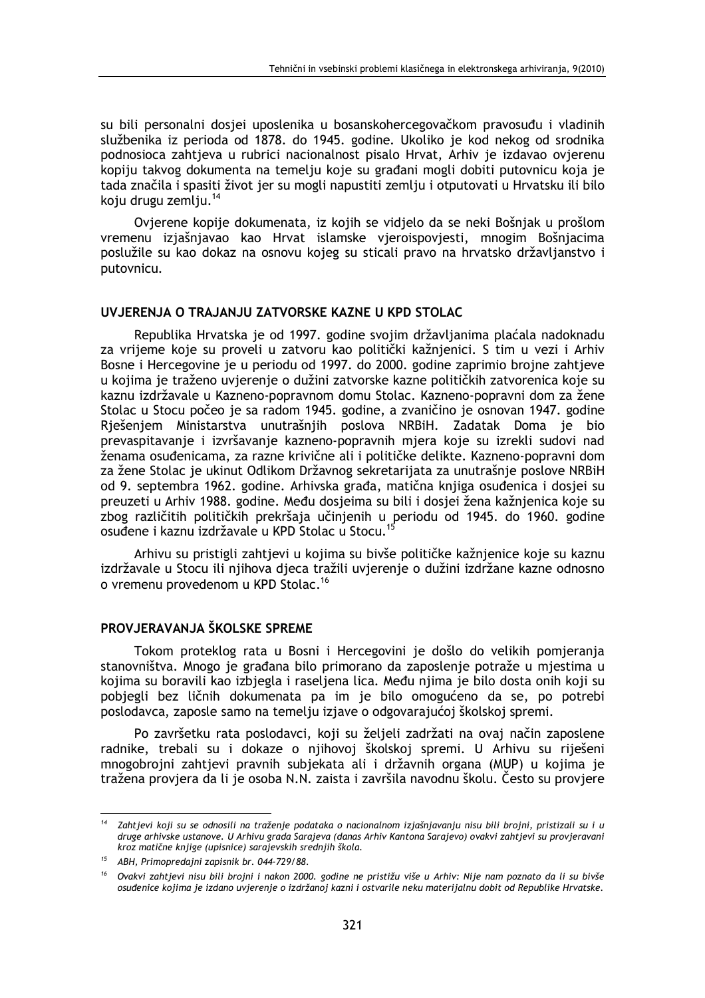su bili personalni dosjei uposlenika u bosanskohercegovačkom pravosuđu i vladinih službenika iz perioda od 1878. do 1945. godine. Ukoliko je kod nekog od srodnika podnosioca zahtjeva u rubrici nacionalnost pisalo Hrvat, Arhiv je izdavao ovjerenu kopiju takvog dokumenta na temelju koje su građani mogli dobiti putovnicu koja je tada značila i spasiti život jer su mogli napustiti zemlju i otputovati u Hrvatsku ili bilo koju drugu zemlju.<sup>14</sup>

Ovjerene kopije dokumenata, iz kojih se vidjelo da se neki Bošnjak u prošlom vremenu izjašnjavao kao Hrvat islamske vjeroispovjesti, mnogim Bošnjacima poslužile su kao dokaz na osnovu kojeg su sticali pravo na hrvatsko državljanstvo i putovnicu.

#### UVJERENJA O TRAJANJU ZATVORSKE KAZNE U KPD STOLAC

Republika Hrvatska je od 1997. godine svojim državljanima plaćala nadoknadu za vrijeme koje su proveli u zatvoru kao politički kažnjenici. S tim u vezi i Arhiv Bosne i Hercegovine je u periodu od 1997. do 2000. godine zaprimio brojne zahtjeve u kojima je traženo uvjerenje o dužini zatvorske kazne političkih zatvorenica koje su kaznu izdržavale u Kazneno-popravnom domu Stolac. Kazneno-popravni dom za žene Stolac u Stocu počeo je sa radom 1945. godine, a zvaničino je osnovan 1947. godine Rješenjem Ministarstva unutrašnjih poslova NRBiH. Zadatak Doma je bio prevaspitavanje i izvršavanje kazneno-popravnih mjera koje su izrekli sudovi nad ženama osuđenicama, za razne krivične ali i političke delikte. Kazneno-popravni dom za žene Stolac je ukinut Odlikom Državnog sekretarijata za unutrašnje poslove NRBiH od 9. septembra 1962. godine. Arhivska građa, matična knjiga osuđenica i dosjei su preuzeti u Arhiv 1988. godine. Među dosjeima su bili i dosjej žena kažnjenica koje su zbog različitih političkih prekršaja učinienih u periodu od 1945. do 1960. godine osuđene i kaznu izdržavale u KPD Stolac u Stocu.<sup>15</sup>

Arhivu su pristigli zahtievi u kojima su bivše političke kažnienice koje su kaznu izdržavale u Stocu ili niihova dieca tražili uvierenie o dužini izdržane kazne odnosno o vremenu provedenom u KPD Stolac.<sup>16</sup>

## PROVJERAVANJA ŠKOLSKE SPREME

Tokom proteklog rata u Bosni i Hercegovini je došlo do velikih pomjeranja stanovništva. Mnogo je građana bilo primorano da zaposlenje potraže u mjestima u kojima su boravili kao izbjegla i raseljena lica. Među njima je bilo dosta onih koji su pobjegli bez ličnih dokumenata pa im je bilo omogućeno da se, po potrebi poslodavca, zaposle samo na temelju izjave o odgovarajućoj školskoj spremi.

Po završetku rata poslodavci, koji su željeli zadržati na ovaj način zaposlene radnike, trebali su i dokaze o njihovoj školskoj spremi. U Arhivu su riješeni mnogobrojni zahtjevi pravnih subjekata ali i državnih organa (MUP) u kojima je tražena provjera da li je osoba N.N. zaista i završila navodnu školu. Često su provjere

Zahtievi koji su se odnosili na traženie podataka o nacionalnom iziašnjavanju nisu bili brojni, pristizali su ju druge arhivske ustanove. U Arhivu grada Sarajeva (danas Arhiv Kantona Sarajevo) ovakvi zahtjevi su provjeravani kroz matične knjige (upisnice) sarajevskih srednjih škola.

 $15$ ABH, Primopredajni zapisnik br. 044-729/88.

Ovakvi zahtjevi nisu bili brojni i nakon 2000. godine ne pristižu više u Arhiv: Nije nam poznato da li su bivše osuđenice kojima je izdano uvjerenje o izdržanoj kazni i ostvarile neku materijalnu dobit od Republike Hrvatske.